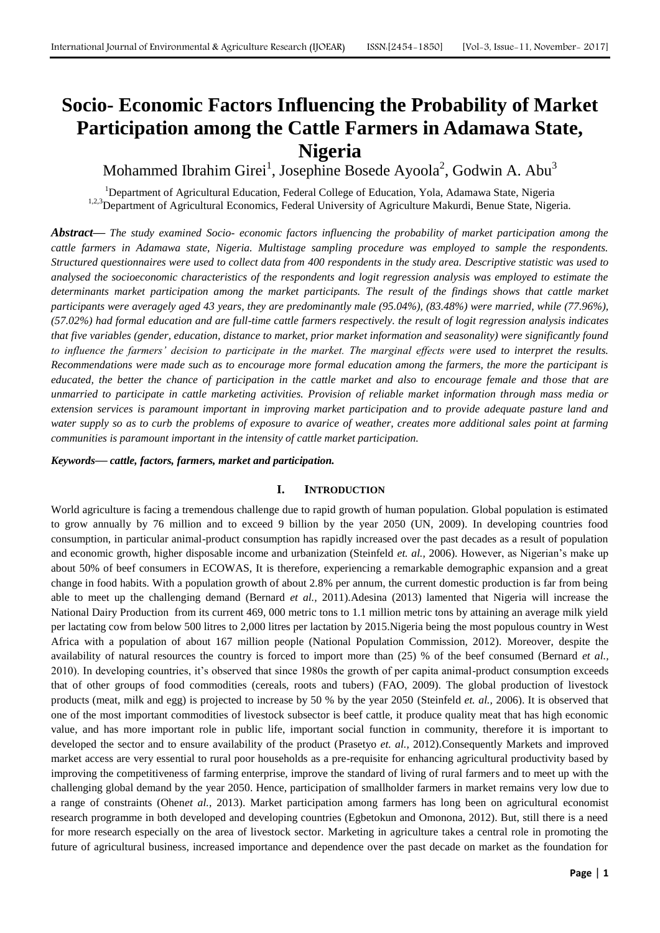# **Socio- Economic Factors Influencing the Probability of Market Participation among the Cattle Farmers in Adamawa State, Nigeria**

Mohammed Ibrahim Girei<sup>1</sup>, Josephine Bosede Ayoola<sup>2</sup>, Godwin A. Abu<sup>3</sup>

<sup>1</sup>Department of Agricultural Education, Federal College of Education, Yola, Adamawa State, Nigeria <sup>1,2,3</sup>Department of Agricultural Economics, Federal University of Agriculture Makurdi, Benue State, Nigeria.

*Abstract***—** *The study examined Socio- economic factors influencing the probability of market participation among the cattle farmers in Adamawa state, Nigeria. Multistage sampling procedure was employed to sample the respondents. Structured questionnaires were used to collect data from 400 respondents in the study area. Descriptive statistic was used to analysed the socioeconomic characteristics of the respondents and logit regression analysis was employed to estimate the*  determinants market participation among the market participants. The result of the findings shows that cattle market *participants were averagely aged 43 years, they are predominantly male (95.04%), (83.48%) were married, while (77.96%), (57.02%) had formal education and are full-time cattle farmers respectively. the result of logit regression analysis indicates that five variables (gender, education, distance to market, prior market information and seasonality) were significantly found to influence the farmers' decision to participate in the market. The marginal effects were used to interpret the results. Recommendations were made such as to encourage more formal education among the farmers, the more the participant is educated, the better the chance of participation in the cattle market and also to encourage female and those that are unmarried to participate in cattle marketing activities. Provision of reliable market information through mass media or*  extension services is paramount important in improving market participation and to provide adequate pasture land and *water supply so as to curb the problems of exposure to avarice of weather, creates more additional sales point at farming communities is paramount important in the intensity of cattle market participation.*

*Keywords***—** *cattle, factors, farmers, market and participation.*

# **I. INTRODUCTION**

World agriculture is facing a tremendous challenge due to rapid growth of human population. Global population is estimated to grow annually by 76 million and to exceed 9 billion by the year 2050 (UN, 2009). In developing countries food consumption, in particular animal-product consumption has rapidly increased over the past decades as a result of population and economic growth, higher disposable income and urbanization (Steinfeld *et. al.,* 2006). However, as Nigerian's make up about 50% of beef consumers in ECOWAS, It is therefore, experiencing a remarkable demographic expansion and a great change in food habits. With a population growth of about 2.8% per annum, the current domestic production is far from being able to meet up the challenging demand (Bernard *et al.,* 2011).Adesina (2013) lamented that Nigeria will increase the National Dairy Production from its current 469, 000 metric tons to 1.1 million metric tons by attaining an average milk yield per lactating cow from below 500 litres to 2,000 litres per lactation by 2015.Nigeria being the most populous country in West Africa with a population of about 167 million people (National Population Commission, 2012). Moreover, despite the availability of natural resources the country is forced to import more than (25) % of the beef consumed (Bernard *et al.,* 2010). In developing countries, it's observed that since 1980s the growth of per capita animal-product consumption exceeds that of other groups of food commodities (cereals, roots and tubers) (FAO, 2009). The global production of livestock products (meat, milk and egg) is projected to increase by 50 % by the year 2050 (Steinfeld *et. al.,* 2006). It is observed that one of the most important commodities of livestock subsector is beef cattle, it produce quality meat that has high economic value, and has more important role in public life, important social function in community, therefore it is important to developed the sector and to ensure availability of the product (Prasetyo *et. al.,* 2012).Consequently Markets and improved market access are very essential to rural poor households as a pre-requisite for enhancing agricultural productivity based by improving the competitiveness of farming enterprise, improve the standard of living of rural farmers and to meet up with the challenging global demand by the year 2050. Hence, participation of smallholder farmers in market remains very low due to a range of constraints (Ohen*et al.,* 2013). Market participation among farmers has long been on agricultural economist research programme in both developed and developing countries (Egbetokun and Omonona, 2012). But, still there is a need for more research especially on the area of livestock sector. Marketing in agriculture takes a central role in promoting the future of agricultural business, increased importance and dependence over the past decade on market as the foundation for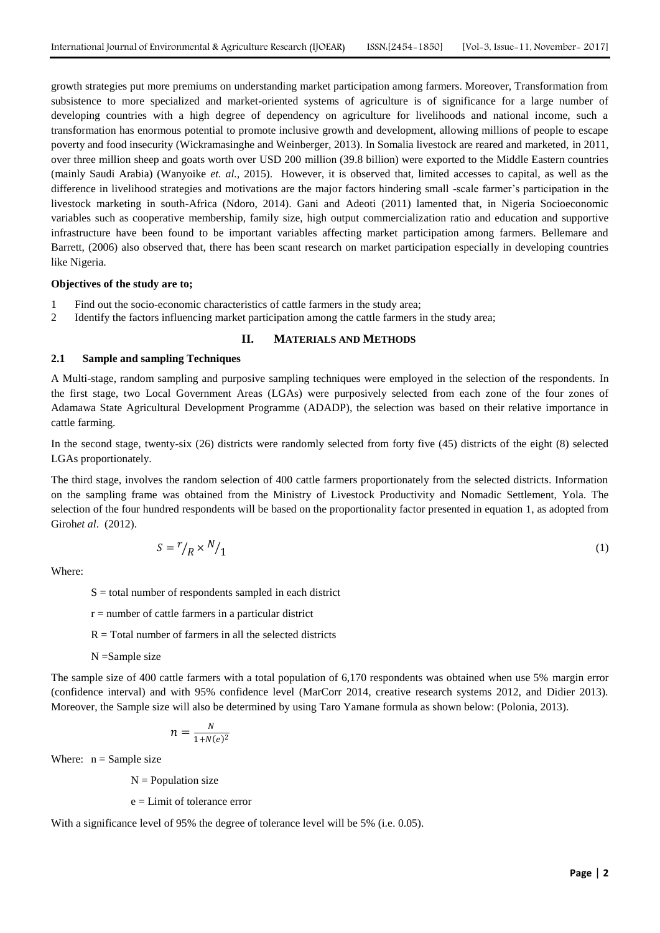growth strategies put more premiums on understanding market participation among farmers. Moreover, Transformation from subsistence to more specialized and market-oriented systems of agriculture is of significance for a large number of developing countries with a high degree of dependency on agriculture for livelihoods and national income, such a transformation has enormous potential to promote inclusive growth and development, allowing millions of people to escape poverty and food insecurity (Wickramasinghe and Weinberger, 2013). In Somalia livestock are reared and marketed, in 2011, over three million sheep and goats worth over USD 200 million (39.8 billion) were exported to the Middle Eastern countries (mainly Saudi Arabia) (Wanyoike *et. al.,* 2015). However, it is observed that, limited accesses to capital, as well as the difference in livelihood strategies and motivations are the major factors hindering small -scale farmer's participation in the livestock marketing in south-Africa (Ndoro, 2014). Gani and Adeoti (2011) lamented that, in Nigeria Socioeconomic variables such as cooperative membership, family size, high output commercialization ratio and education and supportive infrastructure have been found to be important variables affecting market participation among farmers. Bellemare and Barrett, (2006) also observed that, there has been scant research on market participation especially in developing countries like Nigeria.

### **Objectives of the study are to;**

- 1 Find out the socio-economic characteristics of cattle farmers in the study area;
- 2 Identify the factors influencing market participation among the cattle farmers in the study area;

#### **II. MATERIALS AND METHODS**

# **2.1 Sample and sampling Techniques**

A Multi-stage, random sampling and purposive sampling techniques were employed in the selection of the respondents. In the first stage, two Local Government Areas (LGAs) were purposively selected from each zone of the four zones of Adamawa State Agricultural Development Programme (ADADP), the selection was based on their relative importance in cattle farming.

In the second stage, twenty-six (26) districts were randomly selected from forty five (45) districts of the eight (8) selected LGAs proportionately.

The third stage, involves the random selection of 400 cattle farmers proportionately from the selected districts. Information on the sampling frame was obtained from the Ministry of Livestock Productivity and Nomadic Settlement, Yola. The selection of the four hundred respondents will be based on the proportionality factor presented in equation 1, as adopted from Giroh*et al*. (2012).

$$
S = r/p \times N/1 \tag{1}
$$

Where:

 $S =$  total number of respondents sampled in each district

- $r =$  number of cattle farmers in a particular district
- $R = Total number of farmers in all the selected districts$
- N =Sample size

The sample size of 400 cattle farmers with a total population of 6,170 respondents was obtained when use 5% margin error (confidence interval) and with 95% confidence level (MarCorr 2014, creative research systems 2012, and Didier 2013). Moreover, the Sample size will also be determined by using Taro Yamane formula as shown below: (Polonia, 2013).

$$
n = \frac{N}{1 + N(e)^2}
$$

Where:  $n =$  Sample size

 $N =$  Population size

e = Limit of tolerance error

With a significance level of 95% the degree of tolerance level will be 5% (i.e. 0.05).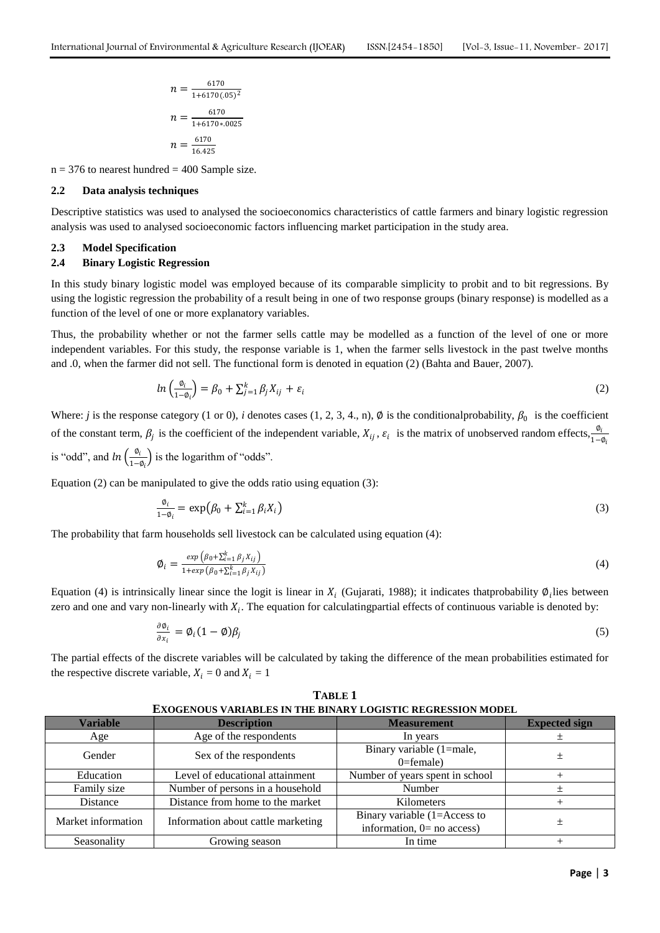$$
n = \frac{6170}{1+6170 (0.05)^2}
$$

$$
n = \frac{6170}{1+6170 * 0.0025}
$$

$$
n = \frac{6170}{16.425}
$$

 $n = 376$  to nearest hundred = 400 Sample size.

# **2.2 Data analysis techniques**

Descriptive statistics was used to analysed the socioeconomics characteristics of cattle farmers and binary logistic regression analysis was used to analysed socioeconomic factors influencing market participation in the study area.

#### **2.3 Model Specification**

# **2.4 Binary Logistic Regression**

In this study binary logistic model was employed because of its comparable simplicity to probit and to bit regressions. By using the logistic regression the probability of a result being in one of two response groups (binary response) is modelled as a function of the level of one or more explanatory variables.

Thus, the probability whether or not the farmer sells cattle may be modelled as a function of the level of one or more independent variables. For this study, the response variable is 1, when the farmer sells livestock in the past twelve months and .0, when the farmer did not sell. The functional form is denoted in equation (2) (Bahta and Bauer, 2007).

$$
ln\left(\frac{\phi_i}{1-\phi_i}\right) = \beta_0 + \sum_{j=1}^k \beta_j X_{ij} + \varepsilon_i
$$
\n(2)

Where: *j* is the response category (1 or 0), *i* denotes cases (1, 2, 3, 4., n),  $\emptyset$  is the conditional probability,  $\beta_0$  is the coefficient of the constant term,  $\beta_j$  is the coefficient of the independent variable,  $X_{ij}$ ,  $\varepsilon_i$  is the matrix of unobserved random effects,  $\frac{\phi_i}{1-\phi_i}$ is "odd", and  $ln\left(\frac{\phi_i}{1-\phi_i}\right)$  $\frac{v_l}{1-\phi_i}$  is the logarithm of "odds".

Equation (2) can be manipulated to give the odds ratio using equation (3):

$$
\frac{\phi_i}{1-\phi_i} = \exp(\beta_0 + \sum_{i=1}^k \beta_i X_i)
$$
\n(3)

The probability that farm households sell livestock can be calculated using equation (4):

$$
\emptyset_i = \frac{\exp\left(\beta_0 + \sum_{i=1}^k \beta_j X_{ij}\right)}{1 + \exp\left(\beta_0 + \sum_{i=1}^k \beta_j X_{ij}\right)}
$$
\n<sup>(4)</sup>

Equation (4) is intrinsically linear since the logit is linear in  $X_i$  (Gujarati, 1988); it indicates thatprobability  $\emptyset_i$  lies between zero and one and vary non-linearly with  $X_i$ . The equation for calculating partial effects of continuous variable is denoted by:

$$
\frac{\partial \phi_i}{\partial x_i} = \phi_i (1 - \phi) \beta_j \tag{5}
$$

The partial effects of the discrete variables will be calculated by taking the difference of the mean probabilities estimated for the respective discrete variable,  $X_i = 0$  and  $X_i = 1$ 

| LAUGENUUS VANIABLES IN THE BINANT LUGISTIU NEGNESSIUN MUDEL |                                                |                                                                 |                      |  |  |  |
|-------------------------------------------------------------|------------------------------------------------|-----------------------------------------------------------------|----------------------|--|--|--|
| <b>Variable</b>                                             | <b>Description</b>                             | <b>Measurement</b>                                              | <b>Expected sign</b> |  |  |  |
| Age                                                         | Age of the respondents<br>In years             |                                                                 | 士                    |  |  |  |
| Gender                                                      | Sex of the respondents                         | Binary variable (1=male,<br>$0 =$ female)                       |                      |  |  |  |
| Education                                                   | Level of educational attainment                | Number of years spent in school                                 |                      |  |  |  |
| Family size                                                 | Number of persons in a household               | Number                                                          |                      |  |  |  |
| Distance                                                    | Distance from home to the market<br>Kilometers |                                                                 |                      |  |  |  |
| Market information                                          | Information about cattle marketing             | Binary variable $(1=Access to$<br>information, $0 =$ no access) |                      |  |  |  |
| Seasonality                                                 | Growing season                                 | In time                                                         |                      |  |  |  |

**TABLE 1 EXOGENOUS VARIABLES IN THE BINARY LOGISTIC REGRESSION MODEL**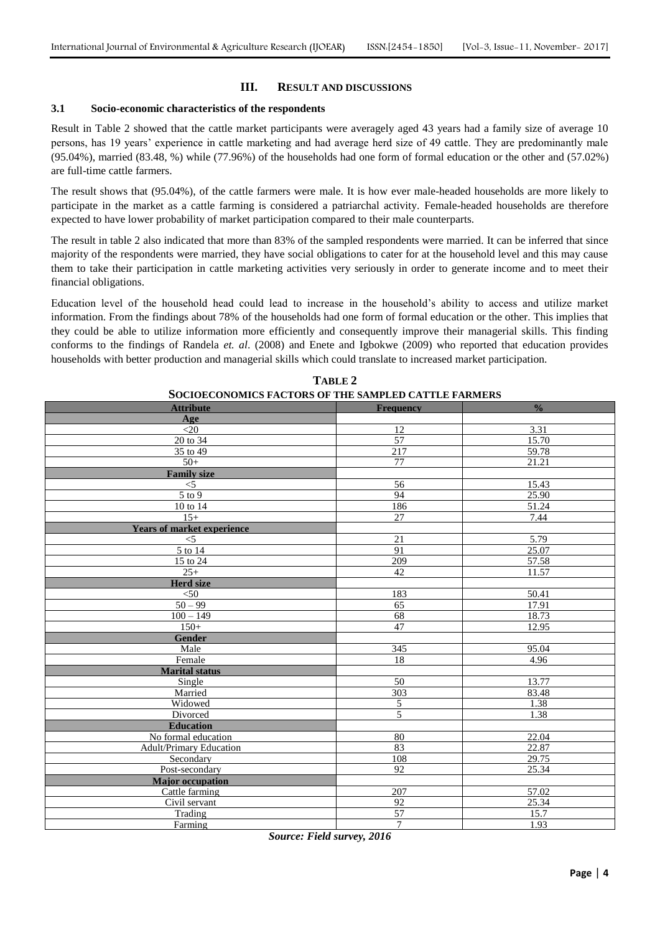# **III. RESULT AND DISCUSSIONS**

### **3.1 Socio-economic characteristics of the respondents**

Result in Table 2 showed that the cattle market participants were averagely aged 43 years had a family size of average 10 persons, has 19 years' experience in cattle marketing and had average herd size of 49 cattle. They are predominantly male (95.04%), married (83.48, %) while (77.96%) of the households had one form of formal education or the other and (57.02%) are full-time cattle farmers.

The result shows that (95.04%), of the cattle farmers were male. It is how ever male-headed households are more likely to participate in the market as a cattle farming is considered a patriarchal activity. Female-headed households are therefore expected to have lower probability of market participation compared to their male counterparts.

The result in table 2 also indicated that more than 83% of the sampled respondents were married. It can be inferred that since majority of the respondents were married, they have social obligations to cater for at the household level and this may cause them to take their participation in cattle marketing activities very seriously in order to generate income and to meet their financial obligations.

Education level of the household head could lead to increase in the household's ability to access and utilize market information. From the findings about 78% of the households had one form of formal education or the other. This implies that they could be able to utilize information more efficiently and consequently improve their managerial skills. This finding conforms to the findings of Randela *et. al*. (2008) and Enete and Igbokwe (2009) who reported that education provides households with better production and managerial skills which could translate to increased market participation.

| SUCIUECUNUMICS FACTURS UF THE SAMIFLED CATTLE FARMERS |                  |               |  |  |  |
|-------------------------------------------------------|------------------|---------------|--|--|--|
| <b>Attribute</b>                                      | <b>Frequency</b> | $\frac{0}{0}$ |  |  |  |
| Age                                                   |                  |               |  |  |  |
| $<$ 20                                                | 12               | 3.31          |  |  |  |
| 20 to 34                                              | $\overline{57}$  | 15.70         |  |  |  |
| 35 to 49                                              | 217              | 59.78         |  |  |  |
| $50+$                                                 | 77               | 21.21         |  |  |  |
| <b>Family size</b>                                    |                  |               |  |  |  |
| $<$ 5                                                 | 56               | 15.43         |  |  |  |
| $5$ to $9$                                            | 94               | 25.90         |  |  |  |
| 10 to 14                                              | 186              | 51.24         |  |  |  |
| $15+$                                                 | 27               | 7.44          |  |  |  |
| <b>Years of market experience</b>                     |                  |               |  |  |  |
| $<$ 5                                                 | 21               | 5.79          |  |  |  |
| 5 to 14                                               | 91               | 25.07         |  |  |  |
| 15 to 24                                              | 209              | 57.58         |  |  |  |
| $25+$                                                 | 42               | 11.57         |  |  |  |
| <b>Herd size</b>                                      |                  |               |  |  |  |
| $<$ 50                                                | 183              | 50.41         |  |  |  |
| $50 - 99$                                             | 65               | 17.91         |  |  |  |
| $100 - 149$                                           | 68               | 18.73         |  |  |  |
| $150+$                                                | 47               | 12.95         |  |  |  |
| <b>Gender</b>                                         |                  |               |  |  |  |
| Male                                                  | 345              | 95.04         |  |  |  |
| Female                                                | 18               | 4.96          |  |  |  |
| <b>Marital status</b>                                 |                  |               |  |  |  |
| Single                                                | 50               | 13.77         |  |  |  |
| Married                                               | 303              | 83.48         |  |  |  |
| Widowed                                               | 5                | 1.38          |  |  |  |
| Divorced                                              | 5                | 1.38          |  |  |  |
| <b>Education</b>                                      |                  |               |  |  |  |
| No formal education                                   | 80               | 22.04         |  |  |  |
| <b>Adult/Primary Education</b>                        | 83               | 22.87         |  |  |  |
| Secondary                                             | 108              | 29.75         |  |  |  |
| Post-secondary                                        | 92               | 25.34         |  |  |  |
| <b>Major</b> occupation                               |                  |               |  |  |  |
| Cattle farming                                        | 207              | 57.02         |  |  |  |
| Civil servant                                         | 92               | 25.34         |  |  |  |
| Trading                                               | $\overline{57}$  | 15.7          |  |  |  |
| Farming                                               | $\overline{7}$   | 1.93          |  |  |  |

#### **TABLE 2 SOCIOECONOMICS FACTORS OF THE SAMPLED CATTLE FARMERS**

*Source: Field survey, 2016*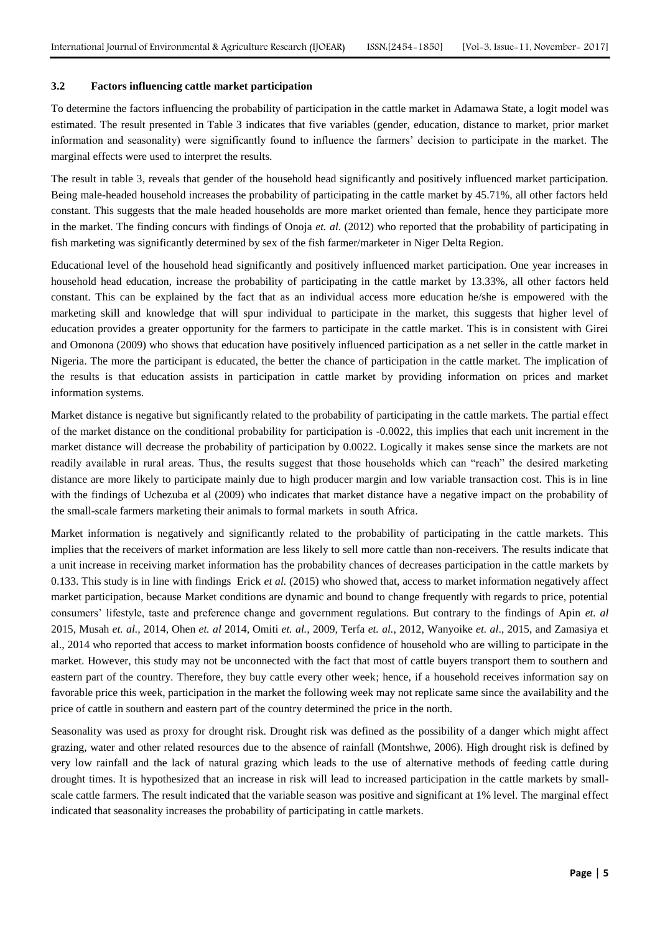# **3.2 Factors influencing cattle market participation**

To determine the factors influencing the probability of participation in the cattle market in Adamawa State, a logit model was estimated. The result presented in Table 3 indicates that five variables (gender, education, distance to market, prior market information and seasonality) were significantly found to influence the farmers' decision to participate in the market. The marginal effects were used to interpret the results.

The result in table 3, reveals that gender of the household head significantly and positively influenced market participation. Being male-headed household increases the probability of participating in the cattle market by 45.71%, all other factors held constant. This suggests that the male headed households are more market oriented than female, hence they participate more in the market. The finding concurs with findings of Onoja *et. al*. (2012) who reported that the probability of participating in fish marketing was significantly determined by sex of the fish farmer/marketer in Niger Delta Region.

Educational level of the household head significantly and positively influenced market participation. One year increases in household head education, increase the probability of participating in the cattle market by 13.33%, all other factors held constant. This can be explained by the fact that as an individual access more education he/she is empowered with the marketing skill and knowledge that will spur individual to participate in the market, this suggests that higher level of education provides a greater opportunity for the farmers to participate in the cattle market. This is in consistent with Girei and Omonona (2009) who shows that education have positively influenced participation as a net seller in the cattle market in Nigeria. The more the participant is educated, the better the chance of participation in the cattle market. The implication of the results is that education assists in participation in cattle market by providing information on prices and market information systems.

Market distance is negative but significantly related to the probability of participating in the cattle markets. The partial effect of the market distance on the conditional probability for participation is -0.0022, this implies that each unit increment in the market distance will decrease the probability of participation by 0.0022. Logically it makes sense since the markets are not readily available in rural areas. Thus, the results suggest that those households which can "reach" the desired marketing distance are more likely to participate mainly due to high producer margin and low variable transaction cost. This is in line with the findings of Uchezuba et al (2009) who indicates that market distance have a negative impact on the probability of the small-scale farmers marketing their animals to formal markets in south Africa.

Market information is negatively and significantly related to the probability of participating in the cattle markets. This implies that the receivers of market information are less likely to sell more cattle than non-receivers. The results indicate that a unit increase in receiving market information has the probability chances of decreases participation in the cattle markets by 0.133. This study is in line with findings Erick *et al.* (2015) who showed that, access to market information negatively affect market participation, because Market conditions are dynamic and bound to change frequently with regards to price, potential consumers' lifestyle, taste and preference change and government regulations. But contrary to the findings of Apin *et. al*  2015, Musah *et. al.,* 2014, Ohen *et. al* 2014, Omiti *et. al.*, 2009, Terfa *et. al.*, 2012, Wanyoike *et. al*., 2015, and Zamasiya et al., 2014 who reported that access to market information boosts confidence of household who are willing to participate in the market. However, this study may not be unconnected with the fact that most of cattle buyers transport them to southern and eastern part of the country. Therefore, they buy cattle every other week; hence, if a household receives information say on favorable price this week, participation in the market the following week may not replicate same since the availability and the price of cattle in southern and eastern part of the country determined the price in the north.

Seasonality was used as proxy for drought risk. Drought risk was defined as the possibility of a danger which might affect grazing, water and other related resources due to the absence of rainfall (Montshwe, 2006). High drought risk is defined by very low rainfall and the lack of natural grazing which leads to the use of alternative methods of feeding cattle during drought times. It is hypothesized that an increase in risk will lead to increased participation in the cattle markets by smallscale cattle farmers. The result indicated that the variable season was positive and significant at 1% level. The marginal effect indicated that seasonality increases the probability of participating in cattle markets.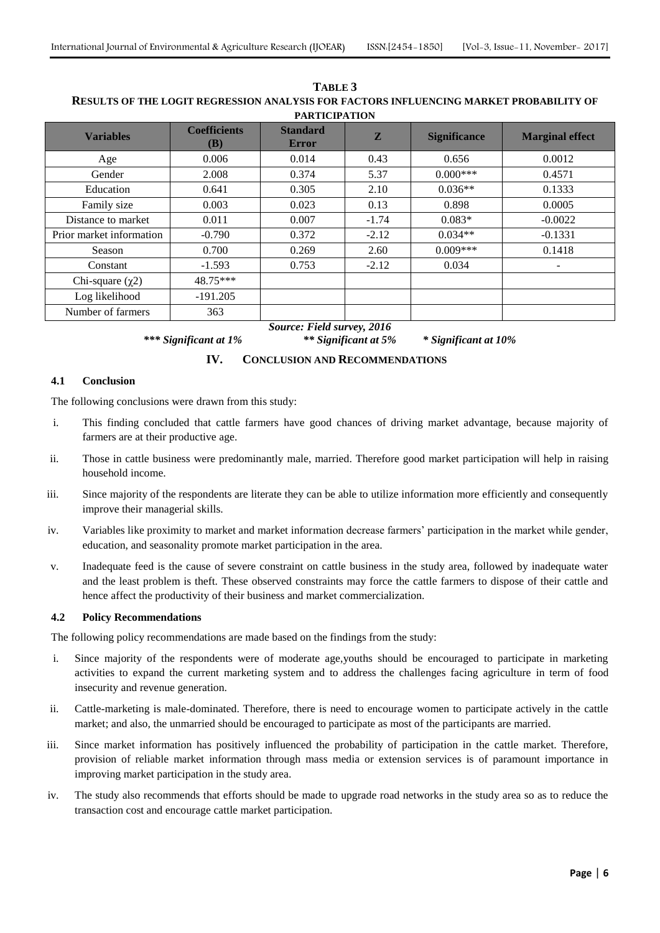| <b>FAKTICIFATION</b>     |                                   |                                 |              |                     |                        |  |  |  |
|--------------------------|-----------------------------------|---------------------------------|--------------|---------------------|------------------------|--|--|--|
| <b>Variables</b>         | <b>Coefficients</b><br><b>(B)</b> | <b>Standard</b><br><b>Error</b> | $\mathbf{Z}$ | <b>Significance</b> | <b>Marginal effect</b> |  |  |  |
| Age                      | 0.006                             | 0.014                           | 0.43         | 0.656               | 0.0012                 |  |  |  |
| Gender                   | 2.008                             | 0.374                           | 5.37         | $0.000***$          | 0.4571                 |  |  |  |
| Education                | 0.641                             | 0.305                           | 2.10         | $0.036**$           | 0.1333                 |  |  |  |
| Family size              | 0.003                             | 0.023                           | 0.13         | 0.898               | 0.0005                 |  |  |  |
| Distance to market       | 0.011                             | 0.007                           | $-1.74$      | $0.083*$            | $-0.0022$              |  |  |  |
| Prior market information | $-0.790$                          | 0.372                           | $-2.12$      | $0.034**$           | $-0.1331$              |  |  |  |
| Season                   | 0.700                             | 0.269                           | 2.60         | $0.009***$          | 0.1418                 |  |  |  |
| Constant                 | $-1.593$                          | 0.753                           | $-2.12$      | 0.034               | ۰                      |  |  |  |
| Chi-square $(\chi 2)$    | 48.75***                          |                                 |              |                     |                        |  |  |  |
| Log likelihood           | $-191.205$                        |                                 |              |                     |                        |  |  |  |
| Number of farmers        | 363                               |                                 |              |                     |                        |  |  |  |

**TABLE 3 RESULTS OF THE LOGIT REGRESSION ANALYSIS FOR FACTORS INFLUENCING MARKET PROBABILITY OF PARTICIPATION**

*Source: Field survey, 2016*

# *\*\*\* Significant at 1% \*\* Significant at 5% \* Significant at 10%*

# **IV. CONCLUSION AND RECOMMENDATIONS**

# **4.1 Conclusion**

The following conclusions were drawn from this study:

- i. This finding concluded that cattle farmers have good chances of driving market advantage, because majority of farmers are at their productive age.
- ii. Those in cattle business were predominantly male, married. Therefore good market participation will help in raising household income.
- iii. Since majority of the respondents are literate they can be able to utilize information more efficiently and consequently improve their managerial skills.
- iv. Variables like proximity to market and market information decrease farmers' participation in the market while gender, education, and seasonality promote market participation in the area.
- v. Inadequate feed is the cause of severe constraint on cattle business in the study area, followed by inadequate water and the least problem is theft. These observed constraints may force the cattle farmers to dispose of their cattle and hence affect the productivity of their business and market commercialization.

# **4.2 Policy Recommendations**

The following policy recommendations are made based on the findings from the study:

- i. Since majority of the respondents were of moderate age,youths should be encouraged to participate in marketing activities to expand the current marketing system and to address the challenges facing agriculture in term of food insecurity and revenue generation.
- ii. Cattle-marketing is male-dominated. Therefore, there is need to encourage women to participate actively in the cattle market; and also, the unmarried should be encouraged to participate as most of the participants are married.
- iii. Since market information has positively influenced the probability of participation in the cattle market. Therefore, provision of reliable market information through mass media or extension services is of paramount importance in improving market participation in the study area.
- iv. The study also recommends that efforts should be made to upgrade road networks in the study area so as to reduce the transaction cost and encourage cattle market participation.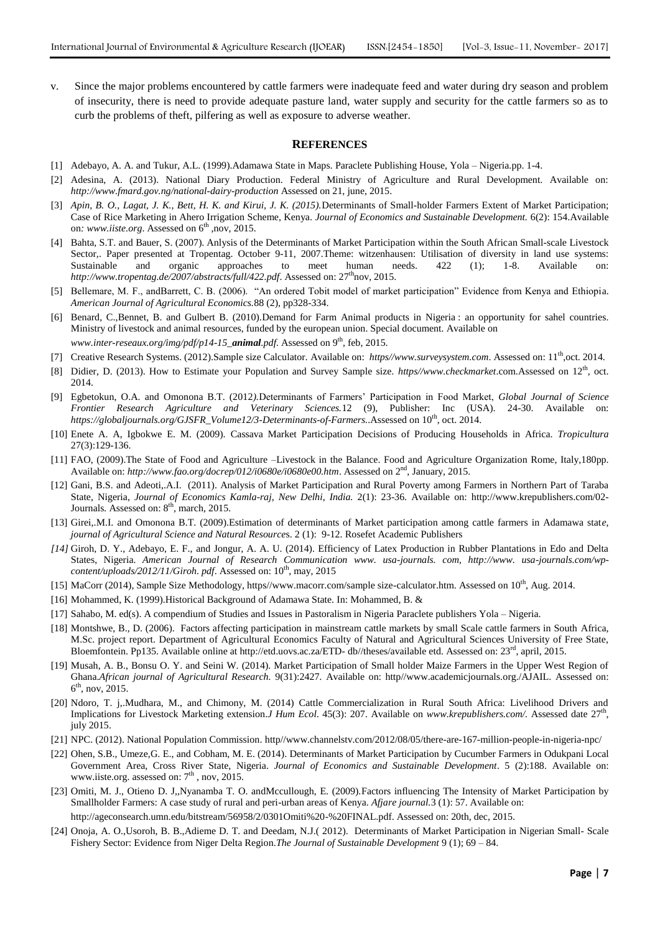v. Since the major problems encountered by cattle farmers were inadequate feed and water during dry season and problem of insecurity, there is need to provide adequate pasture land, water supply and security for the cattle farmers so as to curb the problems of theft, pilfering as well as exposure to adverse weather.

#### **REFERENCES**

- [1] Adebayo, A. A. and Tukur, A.L. (1999).Adamawa State in Maps*.* Paraclete Publishing House, Yola Nigeria.pp. 1-4.
- [2] Adesina, A. (2013). National Diary Production. Federal Ministry of Agriculture and Rural Development. Available on: *<http://www.fmard.gov.ng/national-dairy-production>* Assessed on 21, june, 2015.
- [3] *Apin, B. O., Lagat, J. K., Bett, H. K. and Kirui, J. K. (2015).*Determinants of Small-holder Farmers Extent of Market Participation; Case of Rice Marketing in Ahero Irrigation Scheme, Kenya. *Journal of Economics and Sustainable Development.* 6(2): 154.Available on[: www.iiste.org](http://www.iiste.org/). Assessed on 6<sup>th</sup> ,nov, 2015.
- [4] Bahta, S.T. and Bauer, S. (2007). Anlysis of the Determinants of Market Participation within the South African Small-scale Livestock Sector,. Paper presented at Tropentag. October 9-11, 2007.Theme: witzenhausen: Utilisation of diversity in land use systems: Sustainable and organic approaches to meet human needs. 422 (1); 1-8. Available on: *<http://www.tropentag.de/2007/abstracts/full/422.pdf>.* Assessed on: 27<sup>th</sup>nov, 2015.
- [5] Bellemare, M. F., andBarrett, C. B. (2006). "An ordered Tobit model of market participation" Evidence from Kenya and Ethiopia. *American Journal of Agricultural Economics.*88 (2), pp328-334.
- [6] Benard, C.,Bennet, B. and Gulbert B. (2010).Demand for Farm Animal products in Nigeria : an opportunity for sahel countries. Ministry of livestock and animal resources, funded by the european union. Special document. Available on *[www.inter-reseaux.org/img/pdf/p14-15\\_](http://www.inter-reseaux.org/IMG/pdf/p14-15_Animal.pdf)animal.pdf.* Assessed on 9<sup>th</sup>, feb, 2015.
- [7] Creative Research Systems. (2012).Sample size Calculator*.* Available on: *https//www.surveysystem.com*. Assessed on: 11th,oct. 2014.
- [8] Didier, D. (2013). How to Estimate your Population and Survey Sample size. *https//www.checkmarket.com.Assessed on* 12<sup>th</sup>, oct. 2014.
- [9] Egbetokun, O.A. and Omonona B.T. (2012*).*Determinants of Farmers' Participation in Food Market, *Global Journal of Science Frontier Research Agriculture and Veterinary Sciences.*12 (9), Publisher: Inc (USA). 24-30. Available on: *https://globaljournals.org/GJSFR\_Volume12/3-Determinants-of-Farmers.*.Assessed on 10th, oct. 2014.
- [10] Enete A. A, Igbokwe E. M. (2009). Cassava Market Participation Decisions of Producing Households in Africa. *Tropicultura* 27(3):129-136.
- [11] FAO, (2009).The State of Food and Agriculture –Livestock in the Balance. Food and Agriculture Organization Rome, Italy,180pp. Available on: *<http://www.fao.org/docrep/012/i0680e/i0680e00.htm>*. Assessed on 2nd, January, 2015.
- [12] Gani, B.S. and Adeoti,.A.I. (2011). Analysis of Market Participation and Rural Poverty among Farmers in Northern Part of Taraba State, Nigeria, *Journal of Economics Kamla-raj, New Delhi, India.* 2(1): 23-36. Available on: [http://www.krepublishers.com/02-](http://www.krepublishers.com/02-Journals) [Journals](http://www.krepublishers.com/02-Journals). Assessed on: 8<sup>th</sup>, march, 2015.
- [13] Girei,.M.I. and Omonona B.T. (2009).Estimation of determinants of Market participation among cattle farmers in Adamawa stat*e*, *journal of Agricultural Science and Natural Resource*s. 2 (1): 9-12. Rosefet Academic Publishers
- *[14]* Giroh, D. Y., Adebayo, E. F., and Jongur, A. A. U. (2014). Efficiency of Latex Production in Rubber Plantations in Edo and Delta States, Nigeria. *American Journal of Research Communication www. usa-journals. com, http://www. usa-journals.com/wpcontent/uploads/2012/11/Giroh. pdf. Assessed on:*  $10<sup>th</sup>$ , may, 2015
- [15] MaCorr (2014), Sample Size Methodology, https//www.macorr.com/sample size-calculator.htm. Assessed on 10<sup>th</sup>, Aug. 2014.
- [16] Mohammed, K. (1999).Historical Background of Adamawa State. In: Mohammed, B. &
- [17] Sahabo, M. ed(s). A compendium of Studies and Issues in Pastoralism in Nigeria Paraclete publishers Yola Nigeria.
- [18] Montshwe, B., D. (2006). Factors affecting participation in mainstream cattle markets by small Scale cattle farmers in South Africa, M.Sc. project report. Department of Agricultural Economics Faculty of Natural and Agricultural Sciences University of Free State, Bloemfontein. Pp135. Available online at [http://etd.uovs.ac.za/ETD-](http://etd.uovs.ac.za/ETD-%20db/theses/available%20etd) db//theses/available etd. Assessed on:  $23<sup>rd</sup>$ , april, 2015.
- [19] Musah, A. B., Bonsu O. Y. and Seini W. (2014). Market Participation of Small holder Maize Farmers in the Upper West Region of Ghana.*African journal of Agricultural Research.* 9(31):2427*.* Available on: http//www.academicjournals.org./AJAIL. Assessed on:  $6^{\text{th}}$ , nov, 2015.
- [20] Ndoro, T. j,.Mudhara, M., and Chimony, M. (2014) Cattle Commercialization in Rural South Africa: Livelihood Drivers and Implications for Livestock Marketing extension.*J Hum Ecol*. 45(3): 207. Available on *www.krepublishers.com/.* Assessed date 27th , july 2015.
- [21] NPC. (2012). National Population Commission. http//www.channelstv.com/2012/08/05/there-are-167-million-people-in-nigeria-npc/
- [22] Ohen, S.B., Umeze,G. E., and Cobham, M. E. (2014). Determinants of Market Participation by Cucumber Farmers in Odukpani Local Government Area, Cross River State, Nigeria. *Journal of Economics and Sustainable Development*. 5 (2):188. Available on: [www.iiste.org.](http://www.iiste.org/) assessed on:  $7<sup>th</sup>$ , nov, 2015.
- [23] Omiti, M. J., Otieno D. J,,Nyanamba T. O. andMccullough, E. (2009).Factors influencing The Intensity of Market Participation by Smallholder Farmers: A case study of rural and peri-urban areas of Kenya. *Afjare journal.*3 (1): 57. Available on: [http://ageconsearch.umn.edu/bitstream/56958/2/0301Omiti%20-%20FINAL.pdf.](http://ageconsearch.umn.edu/bitstream/56958/2/0301Omiti%20-%20FINAL.pdf) Assessed on: 20th, dec, 2015.
- [24] Onoja, A. O.,Usoroh, B. B.,Adieme D. T. and Deedam, N.J.( 2012). Determinants of Market Participation in Nigerian Small- Scale Fishery Sector: Evidence from Niger Delta Region.*The Journal of Sustainable Development* 9 (1); 69 – 84.